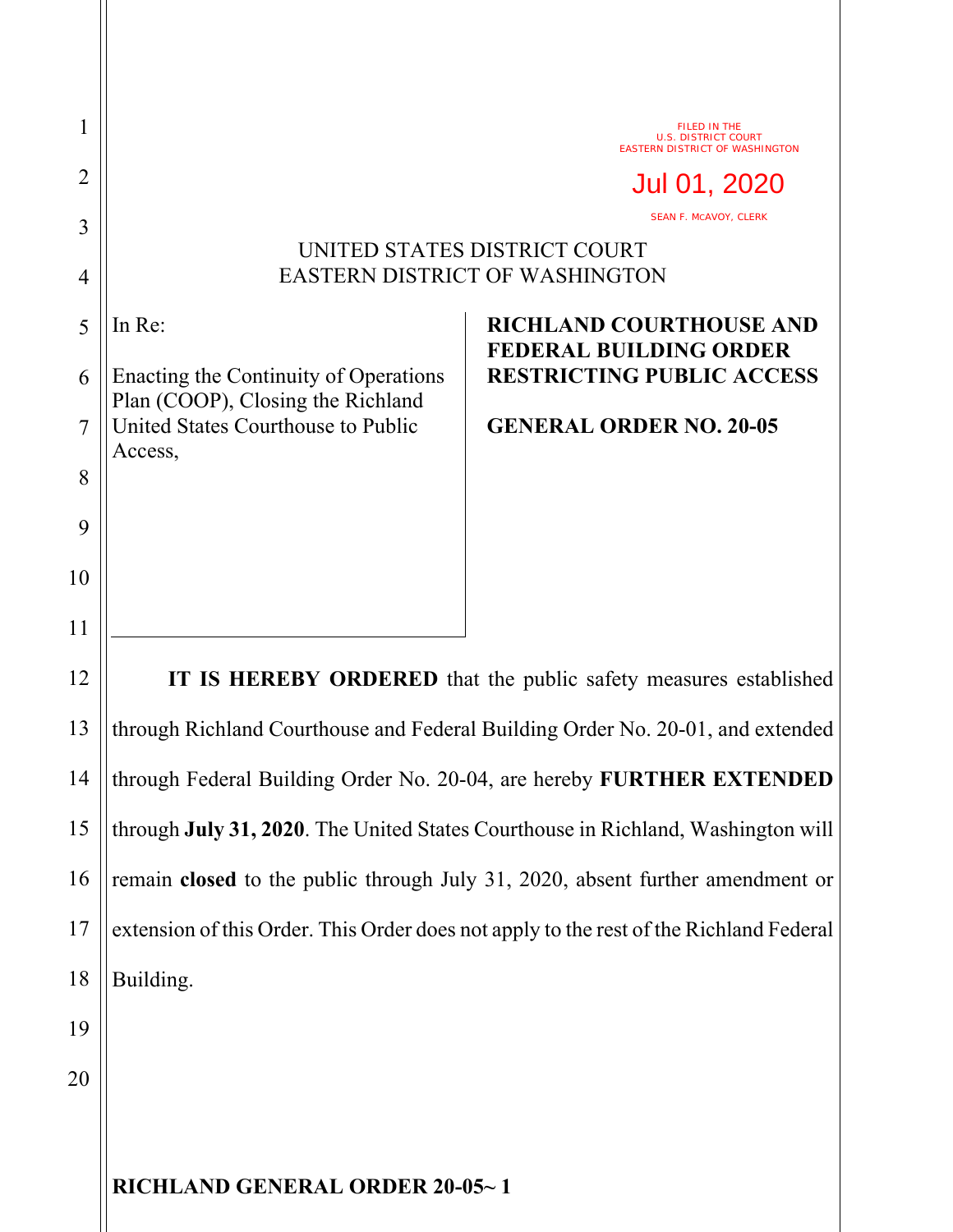| 1              |                                                                                        | FILED IN THE<br><b>U.S. DISTRICT COURT</b><br><b>EASTERN DISTRICT OF WASHINGTON</b>                 |
|----------------|----------------------------------------------------------------------------------------|-----------------------------------------------------------------------------------------------------|
| $\overline{2}$ |                                                                                        | Jul 01, 2020<br><b>SEAN F. MCAVOY, CLERK</b>                                                        |
| 3<br>4         | UNITED STATES DISTRICT COURT<br><b>EASTERN DISTRICT OF WASHINGTON</b>                  |                                                                                                     |
| 5<br>6         | In Re:<br>Enacting the Continuity of Operations<br>Plan (COOP), Closing the Richland   | <b>RICHLAND COURTHOUSE AND</b><br><b>FEDERAL BUILDING ORDER</b><br><b>RESTRICTING PUBLIC ACCESS</b> |
| 7<br>8         | United States Courthouse to Public<br>Access,                                          | <b>GENERAL ORDER NO. 20-05</b>                                                                      |
| 9              |                                                                                        |                                                                                                     |
| 10             |                                                                                        |                                                                                                     |
| 11             |                                                                                        |                                                                                                     |
| 12             | IT IS HEREBY ORDERED that the public safety measures established                       |                                                                                                     |
| 13             | through Richland Courthouse and Federal Building Order No. 20-01, and extended         |                                                                                                     |
| 14             | through Federal Building Order No. 20-04, are hereby FURTHER EXTENDED                  |                                                                                                     |
| 15             | through July 31, 2020. The United States Courthouse in Richland, Washington will       |                                                                                                     |
| 16             | remain closed to the public through July 31, 2020, absent further amendment or         |                                                                                                     |
| 17             | extension of this Order. This Order does not apply to the rest of the Richland Federal |                                                                                                     |
| 18             | Building.                                                                              |                                                                                                     |
| 19             |                                                                                        |                                                                                                     |
| 20             |                                                                                        |                                                                                                     |
|                |                                                                                        |                                                                                                     |

**RICHLAND GENERAL ORDER 20-05~ 1**